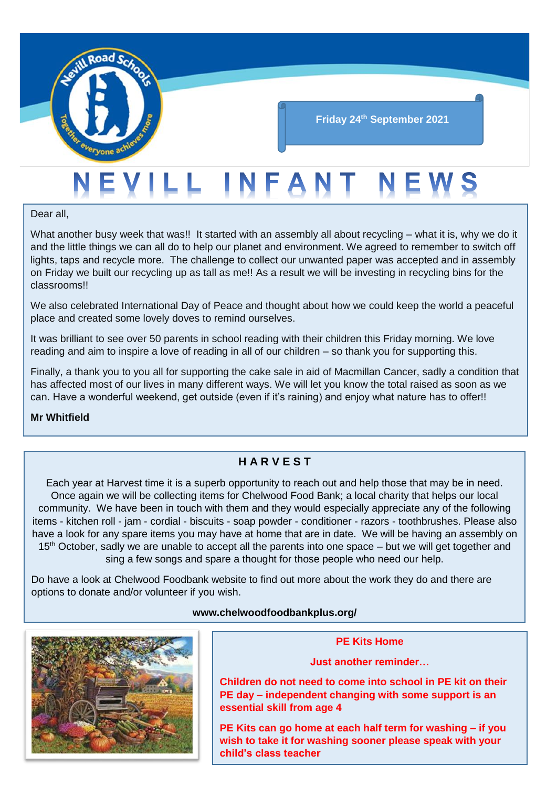

# EVILL INFANT NE

Dear all,

What another busy week that was!! It started with an assembly all about recycling – what it is, why we do it and the little things we can all do to help our planet and environment. We agreed to remember to switch off lights, taps and recycle more. The challenge to collect our unwanted paper was accepted and in assembly on Friday we built our recycling up as tall as me!! As a result we will be investing in recycling bins for the classrooms!!

We also celebrated International Day of Peace and thought about how we could keep the world a peaceful place and created some lovely doves to remind ourselves.

It was brilliant to see over 50 parents in school reading with their children this Friday morning. We love reading and aim to inspire a love of reading in all of our children – so thank you for supporting this.

Finally, a thank you to you all for supporting the cake sale in aid of Macmillan Cancer, sadly a condition that has affected most of our lives in many different ways. We will let you know the total raised as soon as we can. Have a wonderful weekend, get outside (even if it's raining) and enjoy what nature has to offer!!

**Mr Whitfield**

# **H A R V E S T**

Each year at Harvest time it is a superb opportunity to reach out and help those that may be in need. Once again we will be collecting items for Chelwood Food Bank; a local charity that helps our local community. We have been in touch with them and they would especially appreciate any of the following items - kitchen roll - jam - cordial - biscuits - soap powder - conditioner - razors - toothbrushes. Please also have a look for any spare items you may have at home that are in date. We will be having an assembly on 15<sup>th</sup> October, sadly we are unable to accept all the parents into one space – but we will get together and sing a few songs and spare a thought for those people who need our help.

Do have a look at Chelwood Foodbank website to find out more about the work they do and there are options to donate and/or volunteer if you wish.

#### **www.chelwoodfoodbankplus.org/**



#### **PE Kits Home**

**Just another reminder…** 

**Children do not need to come into school in PE kit on their PE day – independent changing with some support is an essential skill from age 4**

**PE Kits can go home at each half term for washing – if you wish to take it for washing sooner please speak with your child's class teacher**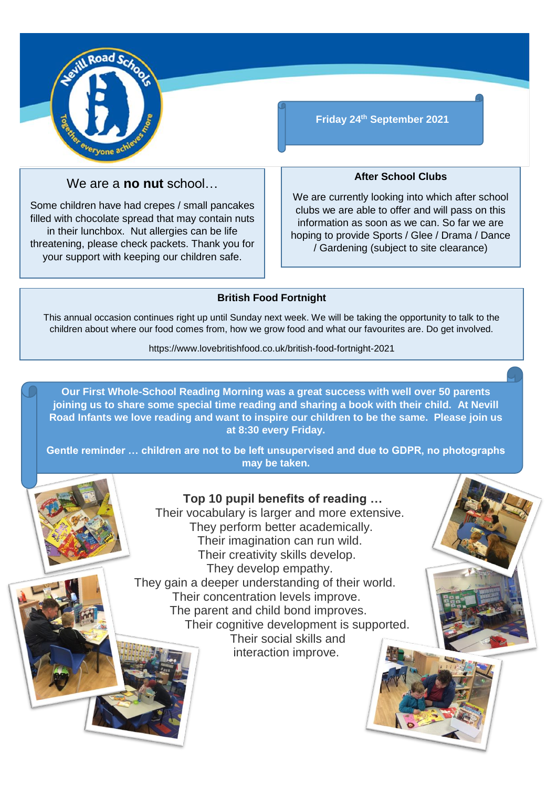

# We are a **no nut** school…

Some children have had crepes / small pancakes filled with chocolate spread that may contain nuts in their lunchbox. Nut allergies can be life threatening, please check packets. Thank you for your support with keeping our children safe.

**Friday 24th September 2021**

#### **After School Clubs**

We are currently looking into which after school clubs we are able to offer and will pass on this information as soon as we can. So far we are hoping to provide Sports / Glee / Drama / Dance / Gardening (subject to site clearance)

### **British Food Fortnight**

This annual occasion continues right up until Sunday next week. We will be taking the opportunity to talk to the children about where our food comes from, how we grow food and what our favourites are. Do get involved.

https://www.lovebritishfood.co.uk/british-food-fortnight-2021

**Our First Whole-School Reading Morning was a great success with well over 50 parents joining us to share some special time reading and sharing a book with their child. At Nevill Road Infants we love reading and want to inspire our children to be the same. Please join us at 8:30 every Friday.**

**Gentle reminder … children are not to be left unsupervised and due to GDPR, no photographs may be taken.**